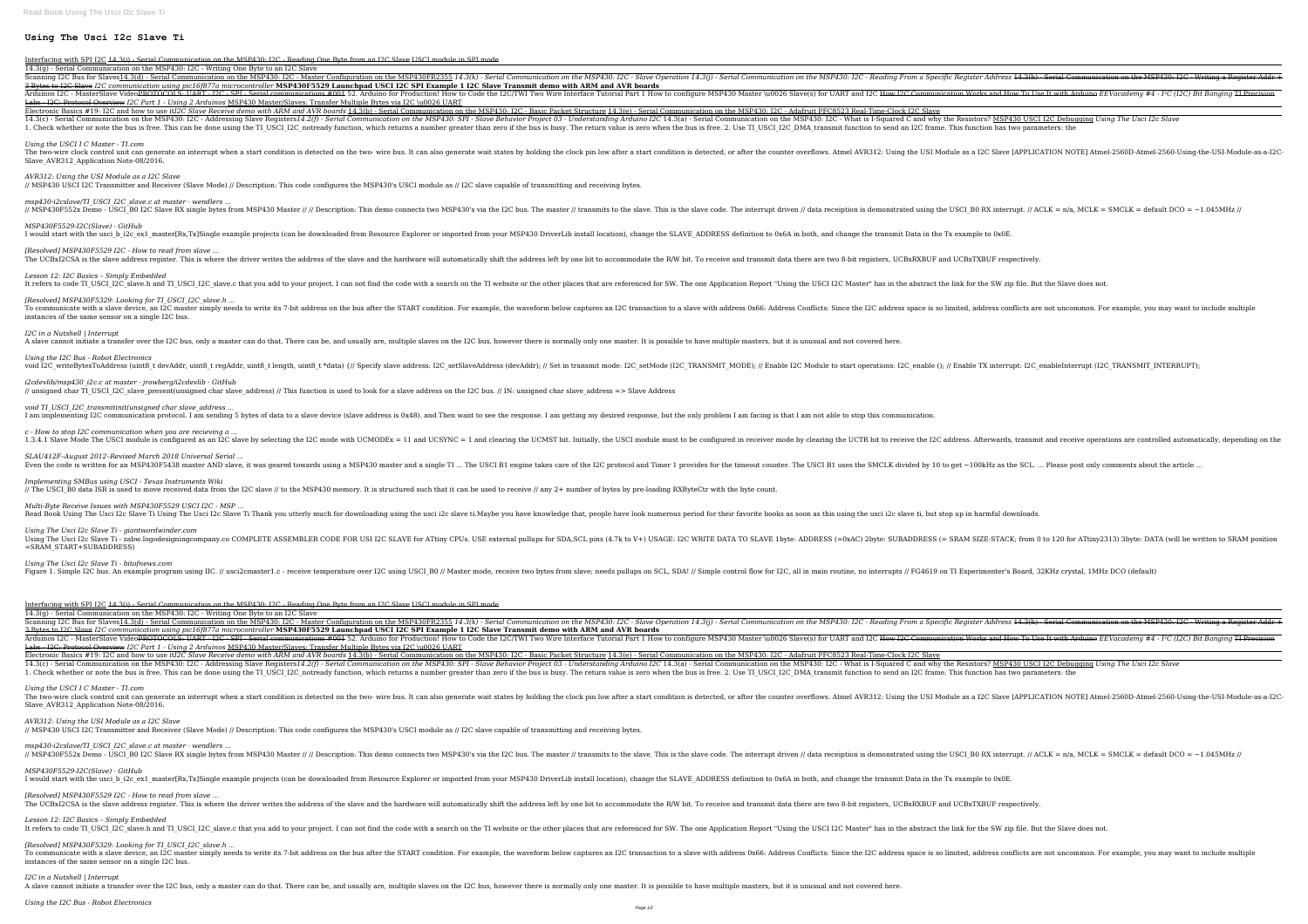# **Using The Usci I2c Slave Ti**

Interfacing with SPI I2C 14.3(i) - Serial Communication on the MSP430: I2C - Reading One Byte from an I2C Slave USCI module in SPI mode 14.3(g) - Serial Communication on the MSP430: I2C - Writing One Byte to an I2C Slave

Scanning I2C Bus for Slaves<u>14.3(d) - Serial Communication on the MSP430: I2C - Master Configuration on the MSP430FR2355 14.3(k) - Serial Communication on the MSP430: I2C - Slave Operation on the MSP430: I2C - Slave Operat</u> 3 Bytes to I2C Slave *I2C communication using pic16f877a microcontroller* **MSP430F5529 Launchpad USCI I2C SPI Example 1 I2C Slave Transmit demo with ARM and AVR boards** Arduinos I2C - MasterSlave Video<del>PROTOCOLS: UART - I2C - SPI - Serial communications #001</del> 52. Arduino for Production! How to Code the I2C/TWI Two Wire Interface Tutorial Part 1 How to Code the I2C/TWI Two Wire Interface T Labs - I2C: Protocol Overview *I2C Part 1 - Using 2 Arduinos* MSP430 Master/Slaves: Transfer Multiple Bytes via I2C \u0026 UART Electronic Basics #19: I2C and how to use it*I2C Slave Receive demo with ARM and AVR boards* 14.3(b) - Serial Communication on the MSP430: I2C - Basic Packet Structure 14.3(e) - Serial Communication on the MSP430: I2C - Ad

14.3(c) - Serial Communication on the MSP430: I2C - Addressing Slave Registers14.2(f) - Serial Communication on the MSP430: SPI - Slave Behavior Project 03 - Understanding Arduino I2C 14.3(a) - Serial Communication on the 1. Check whether or note the bus is free. This can be done using the TI USCI I2C notready function, which returns a number greater than zero if the bus is busy. The return value is zero when the bus is free. 2. Use TI USCI

*msp430-i2cslave/TI\_USCI\_I2C\_slave.c at master · wendlers ...* // MSP430F552x Demo - USCI B0 I2C Slave RX single bytes from MSP430 Master // // Description: This demo connects two MSP430's via the I2C bus. The master // transmits to the slave code. The interrupt driven // data receipt

*[Resolved] MSP430F5529 I2C - How to read from slave ...* The UCBxI2CSA is the slave address register. This is where the driver writes the address of the slave and the hardware will automatically shift the address left by one bit to accommodate the R/W bit. To receive and transmi

*Lesson 12: I2C Basics – Simply Embedded* It refers to code TI USCI I2C slave.h and TI USCI I2C slave.c that you add to your project. I can not find the code with a search on the TI website or the other places that are referenced for SW. The one Application Report

*Using the USCI I C Master - TI.com*

The two-wire clock control unit can generate an interrupt when a start condition is detected on the two- wire bus. It can also generate wait states by holding the USI Module as a I2C Slave [APPLICATION NOTE] Atmel-2560D-At Slave AVR312 Application Note-08/2016.

### *AVR312: Using the USI Module as a I2C Slave*

*i2cdevlib/msp430\_i2c.c at master · jrowberg/i2cdevlib · GitHub* // unsigned char TI\_USCI\_I2C\_slave\_present(unsigned char slave\_address) // This function is used to look for a slave address on the I2C bus. // IN: unsigned char slave\_address => Slave Address

*void TI\_USCI\_I2C\_transmitinit(unsigned char slave\_address ...* I am implementing I2C communication protocol. I am sending 5 bytes of data to a slave device (slave address is 0x48). and Then want to see the response. I am getting my desired response, but the only problem I am facing is

// MSP430 USCI I2C Transmitter and Receiver (Slave Mode) // Description: This code configures the MSP430's USCI module as // I2C slave capable of transmitting and receiving bytes.

*c - How to stop I2C communication when you are recieving a ...* 1.3.4.1 Slave Mode The USCI module is configured as an I2C slave by selecting the I2C mode with UCMODEx = 11 and UCSYNC = 1 and clearing the UCTR bit. Initially, the USCI module must to be configured in receiver mode by cl

*SLAU412F–August 2012–Revised March 2018 Universal Serial ...* Even the code is written for an MSP430F5438 master AND slave, it was geared towards using a MSP430 master and a single TI ... The USCI B1 engine takes care of the I2C protocol and Timer 1 provides for the timeout counter.

#### *MSP430F5529-I2C(Slave) · GitHub*

I would start with the usci b i2c ex1 master[Rx,Tx]Single example projects (can be downloaded from Resource Explorer or imported from your MSP430 DriverLib install location), change the SLAVE ADDRESS definition to 0x6A in

*Multi-Byte Receive Issues with MSP430F5529 USCI I2C - MSP ...* Read Book Using The Usci I2c Slave Ti Using The Usci I2c Slave Ti Thank you utterly much for downloading using the usci i2c slave ti.Maybe you have knowledge that, people have look numerous period for their favorite books

*[Resolved] MSP430F5329: Looking for TI\_USCI\_I2C\_slave.h ...* To communicate with a slave device, an I2C master simply needs to write its 7-bit address on the bus after the START condition. For example, the waveform below captures an I2C transaction to a slave with address Space is s instances of the same sensor on a single I2C bus.

### *I2C in a Nutshell | Interrupt*

A slave cannot initiate a transfer over the I2C bus, only a master can do that. There can be, and usually are, multiple slaves on the I2C bus, however there is normally only one master. It is possible to have multiple mast

#### *Using the I2C Bus - Robot Electronics*

void I2C writeBytesToAddress (uint8 t devAddr, uint8 t regAddr, uint8 t length, uint8 t length, uint8 t length, uint8 t \*data) {// Specify slave address: I2C setSlaveAddress (devAddr); // Enable I2C Module to start operati

*MSP430F5529-I2C(Slave) · GitHub* I would start with the usci b i2c ex1 master[Rx,Tx]Single example projects (can be downloaded from Resource Explorer or imported from your MSP430 DriverLib install location), change the SLAVE ADDRESS definition to 0x6A in

*[Resolved] MSP430F5529 I2C - How to read from slave ...* The UCBxI2CSA is the slave address register. This is where the driver writes the address of the slave and the hardware will automatically shift the address left by one bit to accommodate the R/W bit. To receive and transmi

*Lesson 12: I2C Basics – Simply Embedded* It refers to code TI USCI I2C slave.h and TI USCI I2C slave.c that you add to your project. I can not find the code with a search on the TI website or the other places that are referenced for SW. The one Application Report

*Implementing SMBus using USCI - Texas Instruments Wiki* // The USCI\_B0 data ISR is used to move received data from the I2C slave // to the MSP430 memory. It is structured such that it can be used to receive // any 2+ number of bytes by pre-loading RXByteCtr with the byte count.

*Using The Usci I2c Slave Ti - giantwordwinder.com* Using The Usci I2c Slave Ti - zabw.logodesigningcompany.co COMPLETE ASSEMBLER CODE FOR USI I2C SLAVE for ATtiny CPUs. USE external pullups for SDA,SCL pins (4.7k to V+) USAGE: I2C WRITE DATA TO SLAVE 1byte: SUBADDRESS (= S =SRAM\_START+SUBADDRESS)

*Using The Usci I2c Slave Ti - bitofnews.com*

Figure 1. Simple I2C bus. An example program using IIC. // usci2cmaster1.c - receive temperature over I2C using USCI B0 // Master mode, receive two bytes from slave; needs pullups on SCL, SDA! // Simple control flow for I2

Interfacing with SPI I2C 14.3(i) - Serial Communication on the MSP430: I2C - Reading One Byte from an I2C Slave USCI module in SPI mode 14.3(g) - Serial Communication on the MSP430: I2C - Writing One Byte to an I2C Slave

Scanning I2C Bus for Slaves<u>14.3(d) - Serial Communication on the MSP430: I2C - Master Configuration on the MSP430FR2355 14.3(k) - Serial Communication on the MSP430: I2C - Reading From a Specific Register Address 44.3(h) </u> 3 Bytes to I2C Slave *I2C communication using pic16f877a microcontroller* **MSP430F5529 Launchpad USCI I2C SPI Example 1 I2C Slave Transmit demo with ARM and AVR boards** Arduinos I2C - MasterSlave Video<del>PROTOCOLS: UART - I2C - SPI - Serial communications #001</del> 52. Arduino for Production! How to Code the I2C/TWI Two Wire Interface Tutorial Part 1 How to Code the I2C/TWI Two Wire Interface T Labs - I2C: Protocol Overview *I2C Part 1 - Using 2 Arduinos* MSP430 Master/Slaves: Transfer Multiple Bytes via I2C \u0026 UART Electronic Basics #19: I2C and how to use it*I2C Slave Receive demo with ARM and AVR boards* 14.3(b) - Serial Communication on the MSP430: I2C - Serial Communication on the MSP430: I2C - Adafruit PFC8523 Real-Time-Clock I2

14.3(c) - Serial Communication on the MSP430: I2C - Addressing Slave Registers14.2(f) - Serial Communication on the MSP430: SPI - Slave Behavior Project 03 - Understanding Arduino I2C 14.3(a) - Serial Communication on the 1. Check whether or note the bus is free. This can be done using the TI USCI I2C notready function, which returns a number greater than zero if the bus is free. 2. Use TI USCI I2C DMA transmit function to send an I2C frame

## *Using the USCI I C Master - TI.com*

The two-wire clock control unit can generate an interrupt when a start condition is detected on the two- wire bus. It can also generate wait states by holding the USI Module as a I2C Slave [APPLICATION NOTE] Atmel-2560D-At Slave AVR312 Application Note-08/2016.

### *AVR312: Using the USI Module as a I2C Slave*

// MSP430 USCI I2C Transmitter and Receiver (Slave Mode) // Description: This code configures the MSP430's USCI module as // I2C slave capable of transmitting and receiving bytes. *msp430-i2cslave/TI\_USCI\_I2C\_slave.c at master · wendlers ...*

// MSP430F552x Demo - USCI B0 I2C Slave RX single bytes from MSP430 Master // // Description: This demo connects two MSP430's via the I2C bus. The master // transmits to the slave code. The interrupt driven // data receipt

*[Resolved] MSP430F5329: Looking for TI\_USCI\_I2C\_slave.h ...* To communicate with a slave device, an I2C master simply needs to write its 7-bit address on the bus after the START condition. For example, the waveform below captures an I2C transaction to a slave with address Space is s instances of the same sensor on a single I2C bus.

*I2C in a Nutshell | Interrupt*

A slave cannot initiate a transfer over the I2C bus, only a master can do that. There can be, and usually are, multiple slaves on the I2C bus, however there is normally only one master. It is possible to have multiple mast